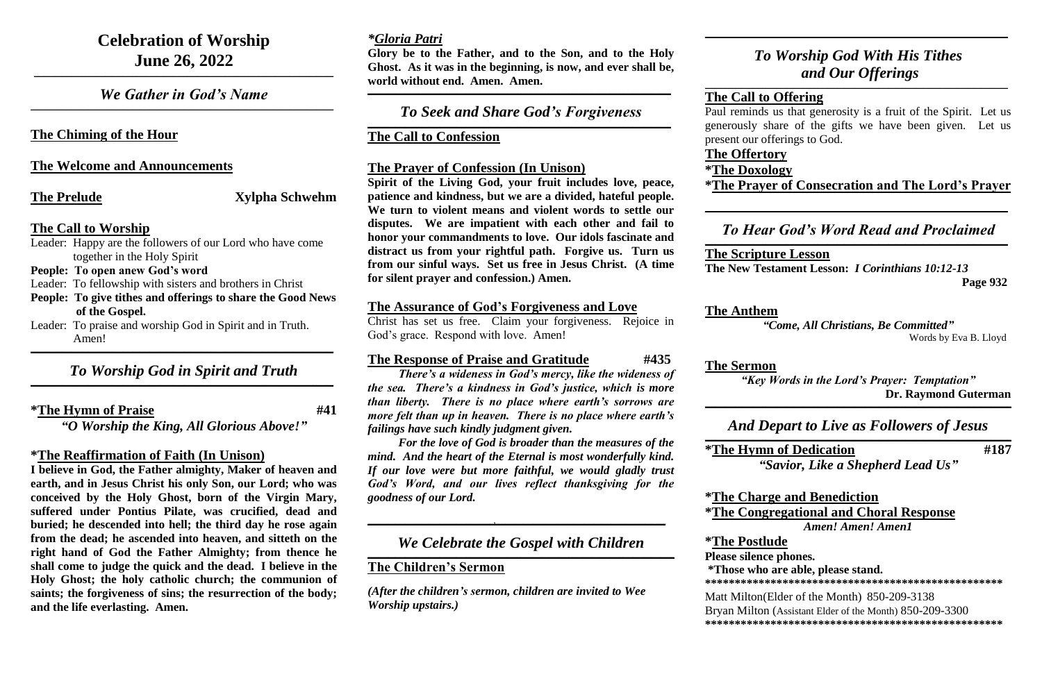# **Celebration of Worship June 26, 2022**

*We Gather in God's Name*  $\mathcal{L}_\mathcal{L} = \mathcal{L}_\mathcal{L} = \mathcal{L}_\mathcal{L} = \mathcal{L}_\mathcal{L} = \mathcal{L}_\mathcal{L} = \mathcal{L}_\mathcal{L} = \mathcal{L}_\mathcal{L} = \mathcal{L}_\mathcal{L} = \mathcal{L}_\mathcal{L} = \mathcal{L}_\mathcal{L} = \mathcal{L}_\mathcal{L} = \mathcal{L}_\mathcal{L} = \mathcal{L}_\mathcal{L} = \mathcal{L}_\mathcal{L} = \mathcal{L}_\mathcal{L} = \mathcal{L}_\mathcal{L} = \mathcal{L}_\mathcal{L}$ 

**\_\_\_\_\_\_\_\_\_\_\_\_\_\_\_\_\_\_\_\_\_\_\_\_\_\_\_\_\_\_\_\_\_\_\_\_\_\_\_\_\_\_\_\_\_\_\_\_\_\_\_\_\_\_\_\_\_\_\_\_\_\_\_\_\_\_\_\_\_\_\_\_\_\_\_\_\_\_\_\_\_\_\_\_\_\_\_\_**

#### **The Chiming of the Hour**

#### **The Welcome and Announcements**

**The Prelude Xylpha Schwehm** 

#### **The Call to Worship**

#### *To Worship God in Spirit and Truth*  $\mathcal{L}_\mathcal{L} = \mathcal{L}_\mathcal{L} = \mathcal{L}_\mathcal{L} = \mathcal{L}_\mathcal{L} = \mathcal{L}_\mathcal{L} = \mathcal{L}_\mathcal{L} = \mathcal{L}_\mathcal{L} = \mathcal{L}_\mathcal{L} = \mathcal{L}_\mathcal{L} = \mathcal{L}_\mathcal{L} = \mathcal{L}_\mathcal{L} = \mathcal{L}_\mathcal{L} = \mathcal{L}_\mathcal{L} = \mathcal{L}_\mathcal{L} = \mathcal{L}_\mathcal{L} = \mathcal{L}_\mathcal{L} = \mathcal{L}_\mathcal{L}$

- Leader: Happy are the followers of our Lord who have come together in the Holy Spirit
- **People: To open anew God's word**
- Leader: To fellowship with sisters and brothers in Christ
- **People: To give tithes and offerings to share the Good News of the Gospel.**
- Leader: To praise and worship God in Spirit and in Truth. Amen!

**\_\_\_\_\_\_\_\_\_\_\_\_\_\_\_\_\_\_\_\_\_\_\_\_\_\_\_\_\_\_\_\_\_\_\_\_\_\_\_\_\_\_\_\_\_\_\_\_\_\_\_\_\_\_\_\_\_\_\_\_\_\_\_\_\_\_\_\_\_\_\_\_\_\_\_\_\_\_\_\_\_\_\_\_\_\_\_\_\_**

**\*The Hymn of Praise #41**

*"O Worship the King, All Glorious Above!"*

*To Seek and Share God's Forgiveness*  $\mathcal{L}_\mathcal{L} = \mathcal{L}_\mathcal{L} = \mathcal{L}_\mathcal{L} = \mathcal{L}_\mathcal{L} = \mathcal{L}_\mathcal{L} = \mathcal{L}_\mathcal{L} = \mathcal{L}_\mathcal{L} = \mathcal{L}_\mathcal{L} = \mathcal{L}_\mathcal{L} = \mathcal{L}_\mathcal{L} = \mathcal{L}_\mathcal{L} = \mathcal{L}_\mathcal{L} = \mathcal{L}_\mathcal{L} = \mathcal{L}_\mathcal{L} = \mathcal{L}_\mathcal{L} = \mathcal{L}_\mathcal{L} = \mathcal{L}_\mathcal{L}$ 

#### **\*The Reaffirmation of Faith (In Unison)**

**I believe in God, the Father almighty, Maker of heaven and earth, and in Jesus Christ his only Son, our Lord; who was conceived by the Holy Ghost, born of the Virgin Mary, suffered under Pontius Pilate, was crucified, dead and buried; he descended into hell; the third day he rose again from the dead; he ascended into heaven, and sitteth on the right hand of God the Father Almighty; from thence he shall come to judge the quick and the dead. I believe in the Holy Ghost; the holy catholic church; the communion of saints; the forgiveness of sins; the resurrection of the body; and the life everlasting. Amen.**

## *\*Gloria Patri*

**Glory be to the Father, and to the Son, and to the Holy Ghost. As it was in the beginning, is now, and ever shall be, world without end. Amen. Amen.**

**\_\_\_\_\_\_\_\_\_\_\_\_\_\_\_\_\_\_\_\_\_\_\_\_\_\_\_\_\_\_\_\_\_\_\_\_\_\_\_\_\_\_\_\_\_\_\_\_\_\_\_\_\_\_\_\_\_\_\_\_\_\_\_\_\_\_\_\_\_\_\_\_\_\_\_\_\_\_\_\_\_\_\_\_\_\_\_\_\_**

# $\mathcal{L}_\mathcal{L} = \mathcal{L}_\mathcal{L} = \mathcal{L}_\mathcal{L} = \mathcal{L}_\mathcal{L} = \mathcal{L}_\mathcal{L} = \mathcal{L}_\mathcal{L} = \mathcal{L}_\mathcal{L} = \mathcal{L}_\mathcal{L} = \mathcal{L}_\mathcal{L} = \mathcal{L}_\mathcal{L} = \mathcal{L}_\mathcal{L} = \mathcal{L}_\mathcal{L} = \mathcal{L}_\mathcal{L} = \mathcal{L}_\mathcal{L} = \mathcal{L}_\mathcal{L} = \mathcal{L}_\mathcal{L} = \mathcal{L}_\mathcal{L}$ **The Call to Offering** present our offerings to God. **The Offertory \*The Doxology**

 $\mathcal{L}_\mathcal{L} = \mathcal{L}_\mathcal{L} = \mathcal{L}_\mathcal{L} = \mathcal{L}_\mathcal{L} = \mathcal{L}_\mathcal{L} = \mathcal{L}_\mathcal{L} = \mathcal{L}_\mathcal{L} = \mathcal{L}_\mathcal{L} = \mathcal{L}_\mathcal{L} = \mathcal{L}_\mathcal{L} = \mathcal{L}_\mathcal{L} = \mathcal{L}_\mathcal{L} = \mathcal{L}_\mathcal{L} = \mathcal{L}_\mathcal{L} = \mathcal{L}_\mathcal{L} = \mathcal{L}_\mathcal{L} = \mathcal{L}_\mathcal{L}$ 

#### **The Call to Confession**

#### **The Prayer of Confession (In Unison)**

**Spirit of the Living God, your fruit includes love, peace, patience and kindness, but we are a divided, hateful people. We turn to violent means and violent words to settle our disputes. We are impatient with each other and fail to honor your commandments to love. Our idols fascinate and distract us from your rightful path. Forgive us. Turn us from our sinful ways. Set us free in Jesus Christ. (A time for silent prayer and confession.) Amen.**

#### **The Assurance of God's Forgiveness and Love**

Christ has set us free. Claim your forgiveness. Rejoice in God's grace. Respond with love. Amen!

#### **The Response of Praise and Gratitude #435**

*There's a wideness in God's mercy, like the wideness of the sea. There's a kindness in God's justice, which is more than liberty. There is no place where earth's sorrows are more felt than up in heaven. There is no place where earth's failings have such kindly judgment given.*

*For the love of God is broader than the measures of the mind. And the heart of the Eternal is most wonderfully kind. If our love were but more faithful, we would gladly trust God's Word, and our lives reflect thanksgiving for the goodness of our Lord.*

**\_\_\_\_\_\_\_\_\_\_\_\_\_\_\_\_\_\_\_\_\_\_\_\_\_\_\_\_\_\_\_\_\_\_\_\_\_,\_\_\_\_\_\_\_\_\_\_\_\_\_\_\_\_\_\_\_\_\_\_\_\_\_\_\_\_\_\_\_\_\_\_\_\_\_\_\_\_\_\_\_\_\_\_\_\_\_\_**

#### *We Celebrate the Gospel with Children* **\_\_\_\_\_\_\_\_\_\_\_\_\_\_\_\_\_\_\_\_\_\_\_\_\_\_\_\_\_\_\_\_\_\_\_\_\_\_\_\_\_\_\_\_\_\_\_\_\_\_\_\_\_\_\_\_\_\_\_\_\_\_\_\_\_\_\_\_\_\_\_\_\_\_\_\_\_\_\_\_\_\_\_\_\_\_\_\_\_\_**

#### **The Children's Sermon**

*(After the children's sermon, children are invited to Wee Worship upstairs.)*

**\_\_\_\_\_\_\_\_\_\_\_\_\_\_\_\_\_\_\_\_\_\_\_\_\_\_\_\_\_\_\_\_\_\_\_\_\_\_\_\_\_\_\_\_\_\_\_\_\_\_\_\_\_\_\_\_\_\_\_\_\_\_\_\_\_\_\_\_\_\_\_\_\_\_\_\_\_\_\_\_\_\_\_\_\_\_\_\_\_**

## *To Worship God With His Tithes and Our Offerings*

Paul reminds us that generosity is a fruit of the Spirit. Let us generously share of the gifts we have been given. Let us

**\*The Prayer of Consecration and The Lord's Prayer**

**\_\_\_\_\_\_\_\_\_\_\_\_\_\_\_\_\_\_\_\_\_\_\_\_\_\_\_\_\_\_\_\_\_\_\_\_\_\_\_\_\_\_\_\_\_\_\_\_\_\_\_\_\_\_\_\_\_\_\_\_\_\_\_\_\_\_\_\_\_\_\_\_\_\_\_\_\_\_\_\_\_\_\_\_\_\_\_\_\_**

## *To Hear God's Word Read and Proclaimed*

#### **The Scripture Lesson**

**The New Testament Lesson:** *I Corinthians 10:12-13*

**Page 932**

## **The Anthem**

*"Come, All Christians, Be Committed"* Words by Eva B. Lloyd

**The Sermon** 

*"Key Words in the Lord's Prayer: Temptation"*  **Dr. Raymond Guterman**

**\_\_\_\_\_\_\_\_\_\_\_\_\_\_\_\_\_\_\_\_\_\_\_\_\_\_\_\_\_\_\_\_\_\_\_\_\_\_\_\_\_\_\_\_\_\_\_\_\_\_\_\_\_\_\_\_\_\_\_\_\_\_\_\_\_\_\_\_\_\_\_\_\_\_\_\_\_\_\_\_\_\_\_\_\_\_\_\_\_\_**

## *And Depart to Live as Followers of Jesus*

**\_\_\_\_\_\_\_\_\_\_\_\_\_\_\_\_\_\_\_\_\_\_\_\_\_\_\_\_\_\_\_\_\_\_\_\_\_\_\_\_\_\_\_\_\_\_\_\_\_\_\_\_\_\_\_\_\_\_\_\_\_\_\_\_\_\_\_\_\_\_\_\_\_\_\_\_\_\_\_\_\_\_\_\_\_\_\_\_\_\_**

**\*The Hymn of Dedication #187** *"Savior, Like a Shepherd Lead Us"*

#### **\*The Charge and Benediction \*The Congregational and Choral Response** *Amen! Amen! Amen1*

**\*The Postlude Please silence phones.** 

# **\*Those who are able, please stand.**

**\*\*\*\*\*\*\*\*\*\*\*\*\*\*\*\*\*\*\*\*\*\*\*\*\*\*\*\*\*\*\*\*\*\*\*\*\*\*\*\*\*\*\*\*\*\*\*\*\*\***

#### Matt Milton(Elder of the Month) 850-209-3138 Bryan Milton (Assistant Elder of the Month) 850-209-3300

**\*\*\*\*\*\*\*\*\*\*\*\*\*\*\*\*\*\*\*\*\*\*\*\*\*\*\*\*\*\*\*\*\*\*\*\*\*\*\*\*\*\*\*\*\*\*\*\*\*\***